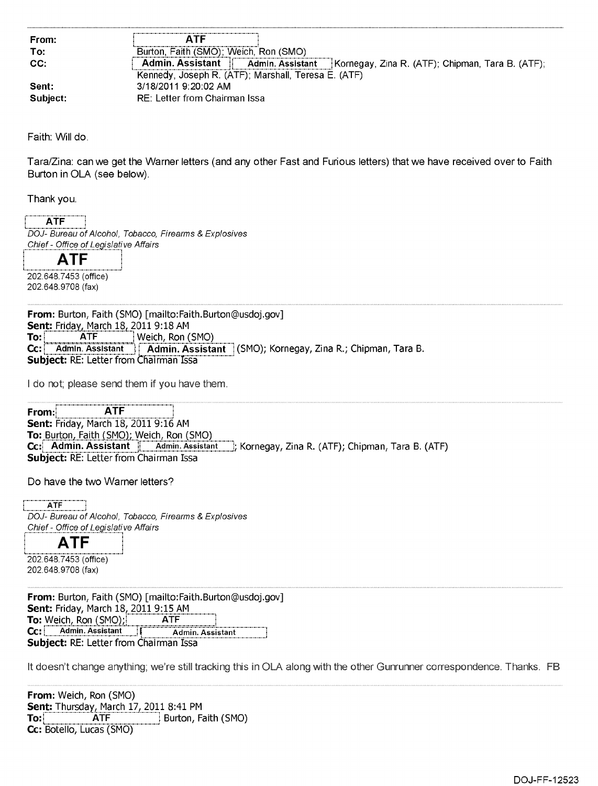| From:    | ΔTF                                                                                            |
|----------|------------------------------------------------------------------------------------------------|
| To:      | Burton, Faith (SMO); Weich, Ron (SMO)                                                          |
| CC.      | <b>Admin. Assistant</b><br>Admin. Assistant   Kornegay, Zina R. (ATF); Chipman, Tara B. (ATF); |
|          | Kennedy, Joseph R. (ATF); Marshall, Teresa E. (ATF)                                            |
| Sent:    | 3/18/2011 9:20:02 AM                                                                           |
| Subject: | RE: Letter from Chairman Issa                                                                  |

Faith: Will do.

Tara/Zina: can we get the Warner letters (and any other Fast and Furious letters) that we have received over to Faith Burton in OLA (see below).

Thank you.

ATF DOJ- Bureau of Alcohol, Tobacco, Firearms & Explosives Chief- Office of Legislative Affairs

**ATF**  202.648.7453 (office)

202.648.9708 (fax)

**From:** Burton, Faith (SMO) [mailto:Faith.Burton©usdoj.gov ] **Sent:** Friday, March 18, 2011 9:18 AM<br>**To: ATF** Weich, Ron ( **To: ATF** Weich, Ron (SMO) Cc: | Admin. Assistant | Admin. Assistant | (SMO); Kornegay, Zina R.; Chipman, Tara B. **Subject: RE: Letter from Chairman Issa** 

I do not; please send them if you have them.

**From: i ATF**  Sent: Friday, March 18, 2011 9:16 AM<br>To: Burton, Faith (SMO); Weich, Ron (SMO) **To:** Burton, Rossistant | Admin. Assistant | Kornegay, Zina R. (ATF); Chipman, Tara B. (ATF) **Subject: RE: Letter from Chairman Issa** 

Do have the two Warner letters?

 $ATF$ DOJ- Bureau of Alcohol, Tobacco, Firearms & Explosives Chief- Office of Legislative Affairs

**ATF** L.\_

202.648.7453 (office) 202.648.9708 (fax)

**From:** Burton, Faith (SMO) [mailto:Faith.Burton©usdoj.gov ] **Sent:** Friday, March 18, 2011 9:15 AM<br>**To:** Weich, Ron (SMO): **ATF To:** Weich, Ron (SMO).;1\_ . ATF \_.\_.\_.\_.\_.\_.\_.1 **Cc: L.** Admin. Assistant **Subject:** RE: Letter from Chairman Issa

It doesn't change anything; we're still tracking this in OLA along with the other Gunrunner correspondence. Thanks. FB

**From:** Weich, Ron (SMO) **Sent: Thursday, March 17, 2011 8:41 PM<br><b>To: ATF** Burton, Fa **Burton, Faith (SMO) To: CC:** Botello, Lucas (SMO)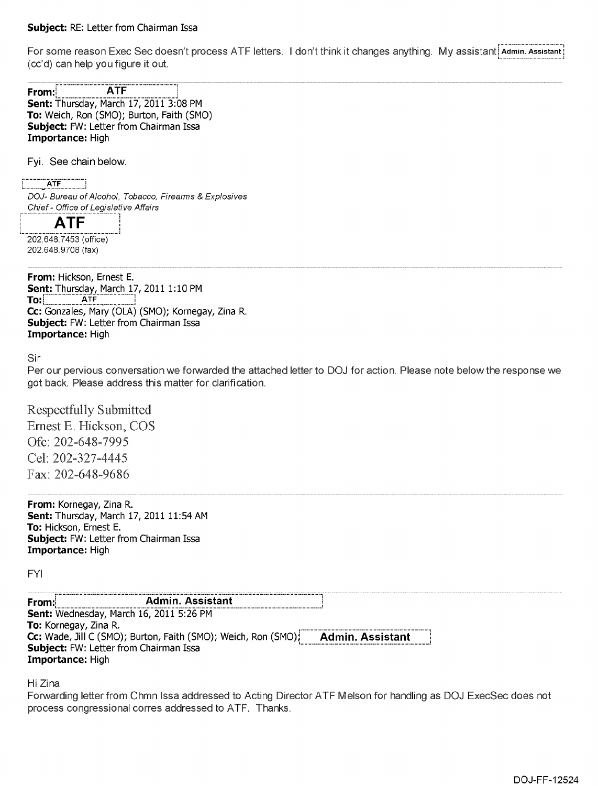## **Subject:** RE: Letter from Chairman Issa

For some reason Exec Sec doesn't process ATF letters. I don't think it changes anything. My assistant: Admin. Assistant Admin. Assistant (cc'd) can help you figure it out.

| From: i | <b>ATF</b>                                       |
|---------|--------------------------------------------------|
|         | Sent: Thursday, March 17, 2011 3:08 PM           |
|         | <b>To:</b> Weich, Ron (SMO); Burton, Faith (SMO) |
|         | <b>Subject:</b> FW: Letter from Chairman Issa    |
|         | <b>Importance:</b> High                          |

Fyi. See chain below.

ATF

DOJ- Bureau of Alcohol, Tobacco, Firearms & Explosives Chief- Office of Legislative Affairs

**ATF** 

202.648.7453 (office) 202.648.9708 (fax)

**From:** Hickson, Ernest E. **Sent:** Thursday, March 17, 2011 1:10 PM **To:] \_** ATF CC: Gonzales, Mary (OLA) (SMO); Kornegay, Zina R. **Subject:** FW: Letter from Chairman Issa **Importance:** High

Sir

Per our pervious conversation we forwarded the attached letter to DOJ for action. Please note below the response we got back. Please address this matter for clarification.

Respectfully Submitted Ernest E. Hickson, COS Ofc: 202-648-7995 Cel: 202-327-4445 Fax: 202-648-9686

**From:** Kornegay, Zina R. **Sent:** Thursday, March 17, 2011 11:54 AM **To:** Hickson, Ernest E. **Subject:** FW: Letter from Chairman Issa **Importance:** High

FYI

| From: | <b>Admin. Assistant</b>                                        |                         |
|-------|----------------------------------------------------------------|-------------------------|
|       | Sent: Wednesday, March 16, 2011 5:26 PM                        |                         |
|       | To: Kornegay, Zina R.                                          |                         |
|       | Cc: Wade, Jill C (SMO); Burton, Faith (SMO); Weich, Ron (SMO); | <b>Admin. Assistant</b> |
|       | <b>Subject:</b> FW: Letter from Chairman Issa                  |                         |
|       | <b>Importance: High</b>                                        |                         |

Hi Zina

Forwarding letter from Chmn Issa addressed to Acting Director ATF Melson for handling as DOJ ExecSec does not process congressional corres addressed to ATF. Thanks.